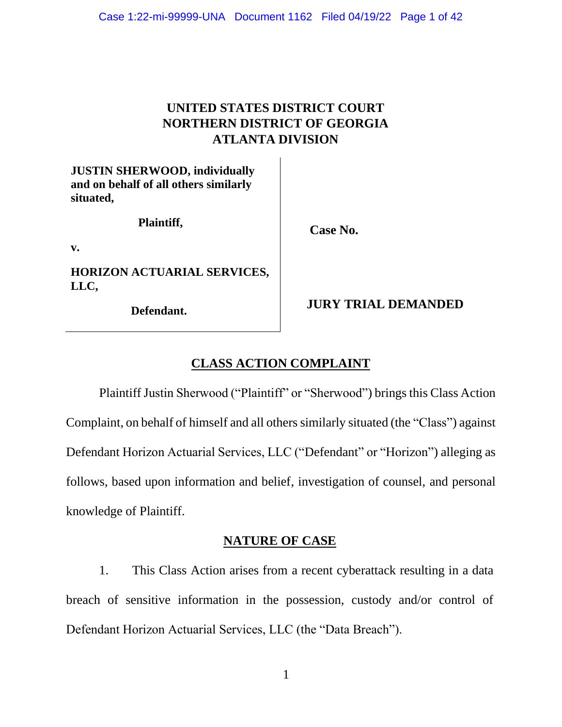# **UNITED STATES DISTRICT COURT NORTHERN DISTRICT OF GEORGIA ATLANTA DIVISION**

**JUSTIN SHERWOOD, individually and on behalf of all others similarly situated,**

**Plaintiff,**

**Case No.**

**v.**

**HORIZON ACTUARIAL SERVICES, LLC,**

**Defendant.**

**JURY TRIAL DEMANDED**

# **CLASS ACTION COMPLAINT**

Plaintiff Justin Sherwood ("Plaintiff" or "Sherwood") brings this Class Action Complaint, on behalf of himself and all others similarly situated (the "Class") against Defendant Horizon Actuarial Services, LLC ("Defendant" or "Horizon") alleging as follows, based upon information and belief, investigation of counsel, and personal knowledge of Plaintiff.

## **NATURE OF CASE**

1. This Class Action arises from a recent cyberattack resulting in a data breach of sensitive information in the possession, custody and/or control of Defendant Horizon Actuarial Services, LLC (the "Data Breach").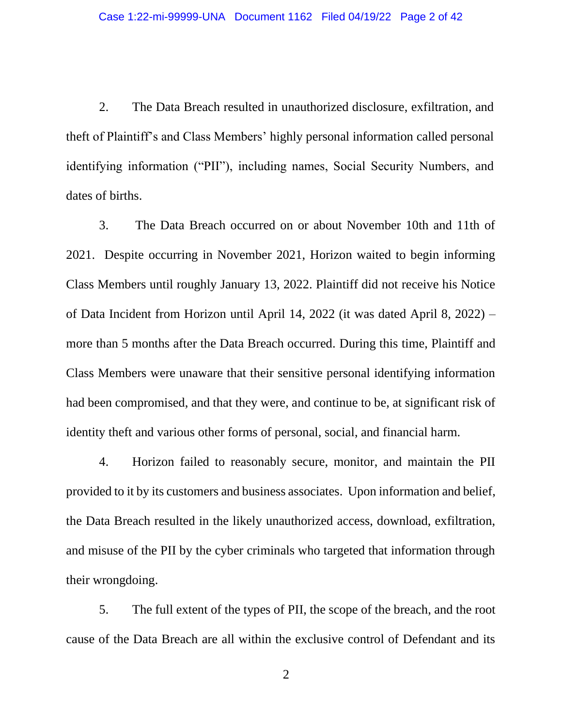2. The Data Breach resulted in unauthorized disclosure, exfiltration, and theft of Plaintiff's and Class Members' highly personal information called personal identifying information ("PII"), including names, Social Security Numbers, and dates of births.

3. The Data Breach occurred on or about November 10th and 11th of 2021. Despite occurring in November 2021, Horizon waited to begin informing Class Members until roughly January 13, 2022. Plaintiff did not receive his Notice of Data Incident from Horizon until April 14, 2022 (it was dated April 8, 2022) – more than 5 months after the Data Breach occurred. During this time, Plaintiff and Class Members were unaware that their sensitive personal identifying information had been compromised, and that they were, and continue to be, at significant risk of identity theft and various other forms of personal, social, and financial harm.

4. Horizon failed to reasonably secure, monitor, and maintain the PII provided to it by its customers and business associates. Upon information and belief, the Data Breach resulted in the likely unauthorized access, download, exfiltration, and misuse of the PII by the cyber criminals who targeted that information through their wrongdoing.

5. The full extent of the types of PII, the scope of the breach, and the root cause of the Data Breach are all within the exclusive control of Defendant and its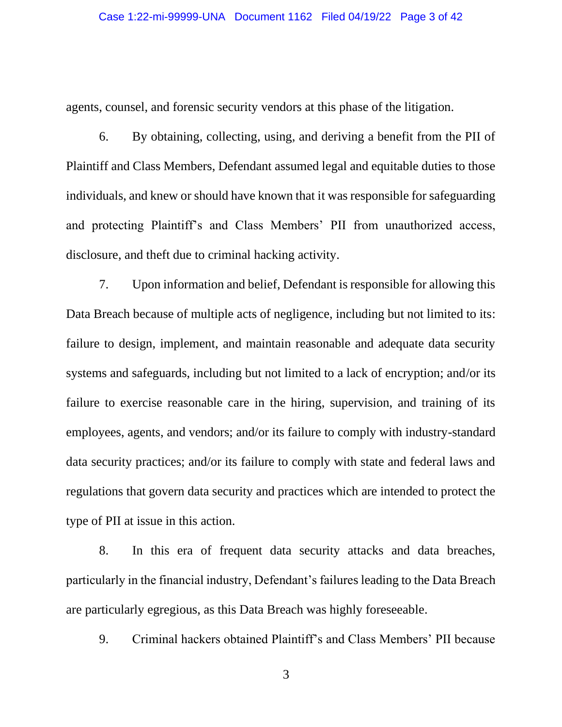agents, counsel, and forensic security vendors at this phase of the litigation.

6. By obtaining, collecting, using, and deriving a benefit from the PII of Plaintiff and Class Members, Defendant assumed legal and equitable duties to those individuals, and knew or should have known that it was responsible for safeguarding and protecting Plaintiff's and Class Members' PII from unauthorized access, disclosure, and theft due to criminal hacking activity.

7. Upon information and belief, Defendant is responsible for allowing this Data Breach because of multiple acts of negligence, including but not limited to its: failure to design, implement, and maintain reasonable and adequate data security systems and safeguards, including but not limited to a lack of encryption; and/or its failure to exercise reasonable care in the hiring, supervision, and training of its employees, agents, and vendors; and/or its failure to comply with industry-standard data security practices; and/or its failure to comply with state and federal laws and regulations that govern data security and practices which are intended to protect the type of PII at issue in this action.

8. In this era of frequent data security attacks and data breaches, particularly in the financial industry, Defendant's failures leading to the Data Breach are particularly egregious, as this Data Breach was highly foreseeable.

9. Criminal hackers obtained Plaintiff's and Class Members' PII because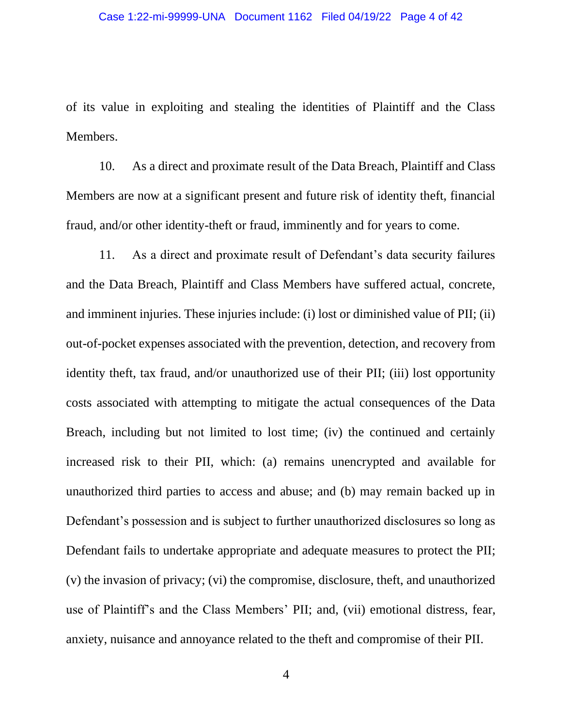of its value in exploiting and stealing the identities of Plaintiff and the Class Members.

10. As a direct and proximate result of the Data Breach, Plaintiff and Class Members are now at a significant present and future risk of identity theft, financial fraud, and/or other identity-theft or fraud, imminently and for years to come.

11. As a direct and proximate result of Defendant's data security failures and the Data Breach, Plaintiff and Class Members have suffered actual, concrete, and imminent injuries. These injuries include: (i) lost or diminished value of PII; (ii) out-of-pocket expenses associated with the prevention, detection, and recovery from identity theft, tax fraud, and/or unauthorized use of their PII; (iii) lost opportunity costs associated with attempting to mitigate the actual consequences of the Data Breach, including but not limited to lost time; (iv) the continued and certainly increased risk to their PII, which: (a) remains unencrypted and available for unauthorized third parties to access and abuse; and (b) may remain backed up in Defendant's possession and is subject to further unauthorized disclosures so long as Defendant fails to undertake appropriate and adequate measures to protect the PII; (v) the invasion of privacy; (vi) the compromise, disclosure, theft, and unauthorized use of Plaintiff's and the Class Members' PII; and, (vii) emotional distress, fear, anxiety, nuisance and annoyance related to the theft and compromise of their PII.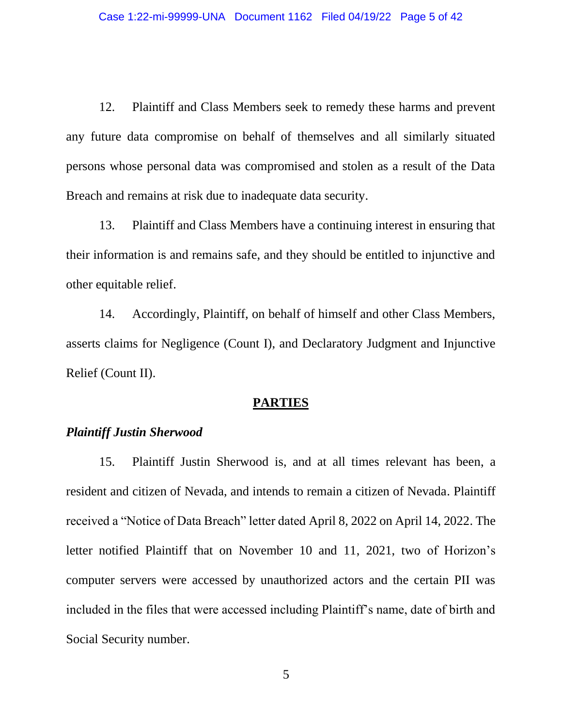12. Plaintiff and Class Members seek to remedy these harms and prevent any future data compromise on behalf of themselves and all similarly situated persons whose personal data was compromised and stolen as a result of the Data Breach and remains at risk due to inadequate data security.

13. Plaintiff and Class Members have a continuing interest in ensuring that their information is and remains safe, and they should be entitled to injunctive and other equitable relief.

14. Accordingly, Plaintiff, on behalf of himself and other Class Members, asserts claims for Negligence (Count I), and Declaratory Judgment and Injunctive Relief (Count II).

#### **PARTIES**

## *Plaintiff Justin Sherwood*

15. Plaintiff Justin Sherwood is, and at all times relevant has been, a resident and citizen of Nevada, and intends to remain a citizen of Nevada. Plaintiff received a "Notice of Data Breach" letter dated April 8, 2022 on April 14, 2022. The letter notified Plaintiff that on November 10 and 11, 2021, two of Horizon's computer servers were accessed by unauthorized actors and the certain PII was included in the files that were accessed including Plaintiff's name, date of birth and Social Security number.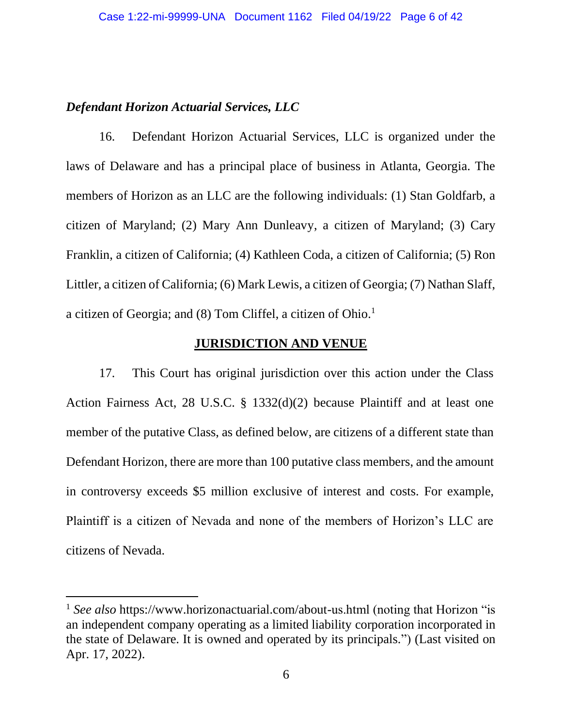## *Defendant Horizon Actuarial Services, LLC*

16. Defendant Horizon Actuarial Services, LLC is organized under the laws of Delaware and has a principal place of business in Atlanta, Georgia. The members of Horizon as an LLC are the following individuals: (1) Stan Goldfarb, a citizen of Maryland; (2) Mary Ann Dunleavy, a citizen of Maryland; (3) Cary Franklin, a citizen of California; (4) Kathleen Coda, a citizen of California; (5) Ron Littler, a citizen of California; (6) Mark Lewis, a citizen of Georgia; (7) Nathan Slaff, a citizen of Georgia; and (8) Tom Cliffel, a citizen of Ohio.<sup>1</sup>

## **JURISDICTION AND VENUE**

17. This Court has original jurisdiction over this action under the Class Action Fairness Act, 28 U.S.C. § 1332(d)(2) because Plaintiff and at least one member of the putative Class, as defined below, are citizens of a different state than Defendant Horizon, there are more than 100 putative class members, and the amount in controversy exceeds \$5 million exclusive of interest and costs. For example, Plaintiff is a citizen of Nevada and none of the members of Horizon's LLC are citizens of Nevada.

<sup>&</sup>lt;sup>1</sup> *See also* https://www.horizonactuarial.com/about-us.html (noting that Horizon "is an independent company operating as a limited liability corporation incorporated in the state of Delaware. It is owned and operated by its principals.") (Last visited on Apr. 17, 2022).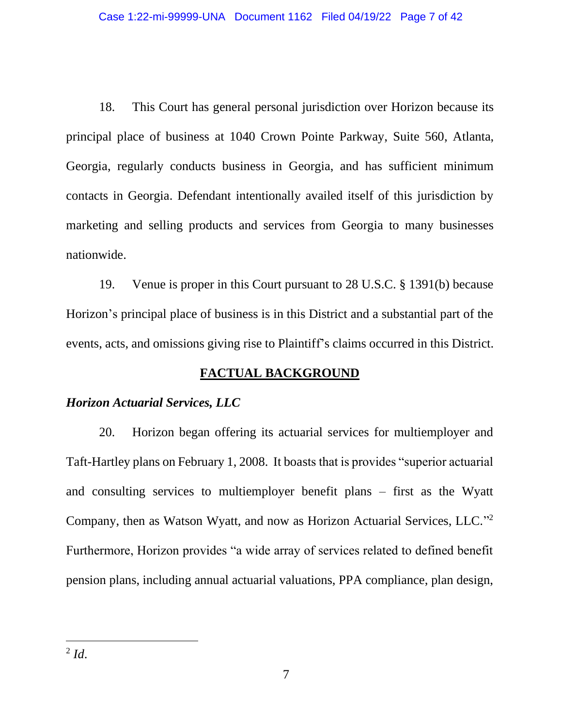18. This Court has general personal jurisdiction over Horizon because its principal place of business at 1040 Crown Pointe Parkway, Suite 560, Atlanta, Georgia, regularly conducts business in Georgia, and has sufficient minimum contacts in Georgia. Defendant intentionally availed itself of this jurisdiction by marketing and selling products and services from Georgia to many businesses nationwide.

19. Venue is proper in this Court pursuant to 28 U.S.C. § 1391(b) because Horizon's principal place of business is in this District and a substantial part of the events, acts, and omissions giving rise to Plaintiff's claims occurred in this District.

# **FACTUAL BACKGROUND**

## *Horizon Actuarial Services, LLC*

20. Horizon began offering its actuarial services for multiemployer and Taft-Hartley plans on February 1, 2008. It boasts that is provides "superior actuarial and consulting services to multiemployer benefit plans – first as the Wyatt Company, then as Watson Wyatt, and now as Horizon Actuarial Services, LLC." 2 Furthermore, Horizon provides "a wide array of services related to defined benefit pension plans, including annual actuarial valuations, PPA compliance, plan design,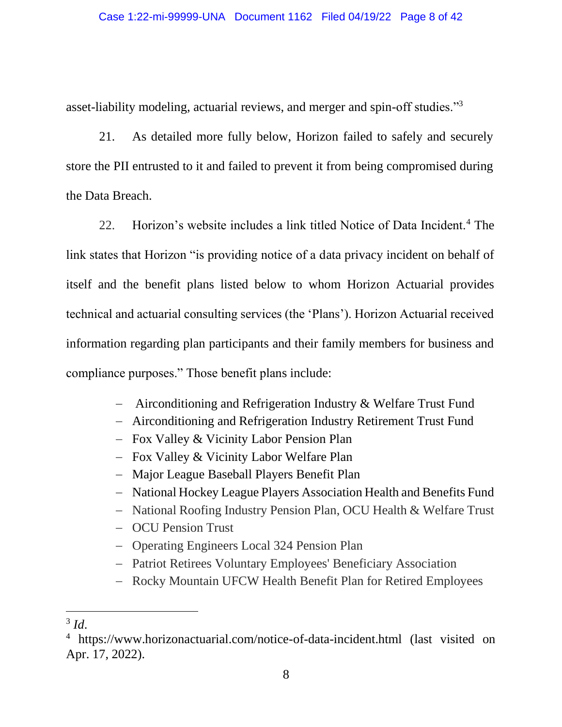asset-liability modeling, actuarial reviews, and merger and spin-off studies."<sup>3</sup>

21. As detailed more fully below, Horizon failed to safely and securely store the PII entrusted to it and failed to prevent it from being compromised during the Data Breach.

22. Horizon's website includes a link titled Notice of Data Incident.<sup>4</sup> The link states that Horizon "is providing notice of a data privacy incident on behalf of itself and the benefit plans listed below to whom Horizon Actuarial provides technical and actuarial consulting services (the 'Plans'). Horizon Actuarial received information regarding plan participants and their family members for business and compliance purposes." Those benefit plans include:

- − Airconditioning and Refrigeration Industry & Welfare Trust Fund
- − Airconditioning and Refrigeration Industry Retirement Trust Fund
- − Fox Valley & Vicinity Labor Pension Plan
- − Fox Valley & Vicinity Labor Welfare Plan
- − Major League Baseball Players Benefit Plan
- − National Hockey League Players Association Health and Benefits Fund
- − National Roofing Industry Pension Plan, OCU Health & Welfare Trust

− OCU Pension Trust

- − Operating Engineers Local 324 Pension Plan
- − Patriot Retirees Voluntary Employees' Beneficiary Association
- − Rocky Mountain UFCW Health Benefit Plan for Retired Employees

<sup>3</sup> *Id*.

<sup>4</sup> https://www.horizonactuarial.com/notice-of-data-incident.html (last visited on Apr. 17, 2022).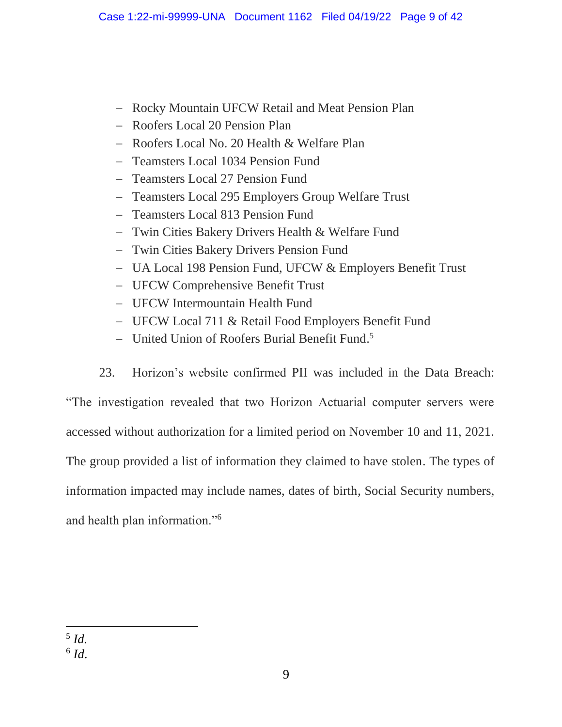- − Rocky Mountain UFCW Retail and Meat Pension Plan
- − Roofers Local 20 Pension Plan
- − Roofers Local No. 20 Health & Welfare Plan
- − Teamsters Local 1034 Pension Fund
- − Teamsters Local 27 Pension Fund
- − Teamsters Local 295 Employers Group Welfare Trust
- − Teamsters Local 813 Pension Fund
- − Twin Cities Bakery Drivers Health & Welfare Fund
- − Twin Cities Bakery Drivers Pension Fund
- − UA Local 198 Pension Fund, UFCW & Employers Benefit Trust
- − UFCW Comprehensive Benefit Trust
- − UFCW Intermountain Health Fund
- − UFCW Local 711 & Retail Food Employers Benefit Fund
- − United Union of Roofers Burial Benefit Fund. 5
- 23. Horizon's website confirmed PII was included in the Data Breach:

"The investigation revealed that two Horizon Actuarial computer servers were accessed without authorization for a limited period on November 10 and 11, 2021. The group provided a list of information they claimed to have stolen. The types of information impacted may include names, dates of birth, Social Security numbers, and health plan information."<sup>6</sup>

<sup>5</sup> *Id.*

<sup>6</sup> *Id*.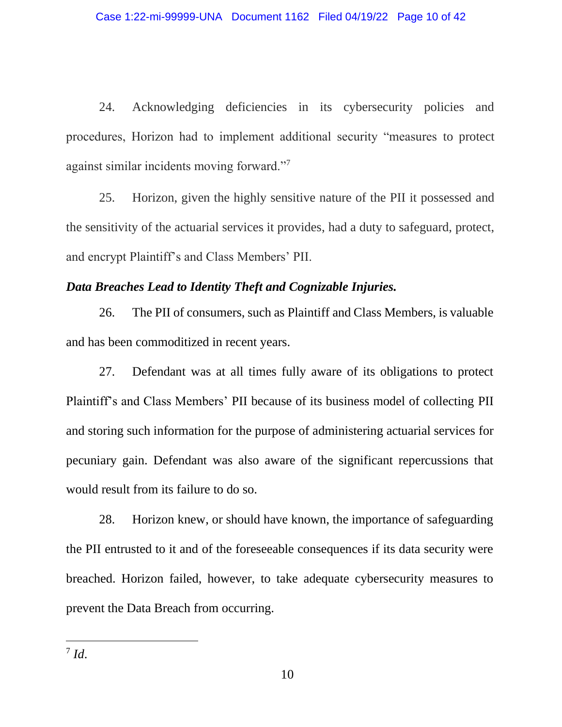24. Acknowledging deficiencies in its cybersecurity policies and procedures, Horizon had to implement additional security "measures to protect against similar incidents moving forward."<sup>7</sup>

25. Horizon, given the highly sensitive nature of the PII it possessed and the sensitivity of the actuarial services it provides, had a duty to safeguard, protect, and encrypt Plaintiff's and Class Members' PII.

## *Data Breaches Lead to Identity Theft and Cognizable Injuries.*

26. The PII of consumers, such as Plaintiff and Class Members, is valuable and has been commoditized in recent years.

27. Defendant was at all times fully aware of its obligations to protect Plaintiff's and Class Members' PII because of its business model of collecting PII and storing such information for the purpose of administering actuarial services for pecuniary gain. Defendant was also aware of the significant repercussions that would result from its failure to do so.

28. Horizon knew, or should have known, the importance of safeguarding the PII entrusted to it and of the foreseeable consequences if its data security were breached. Horizon failed, however, to take adequate cybersecurity measures to prevent the Data Breach from occurring.

<sup>7</sup> *Id*.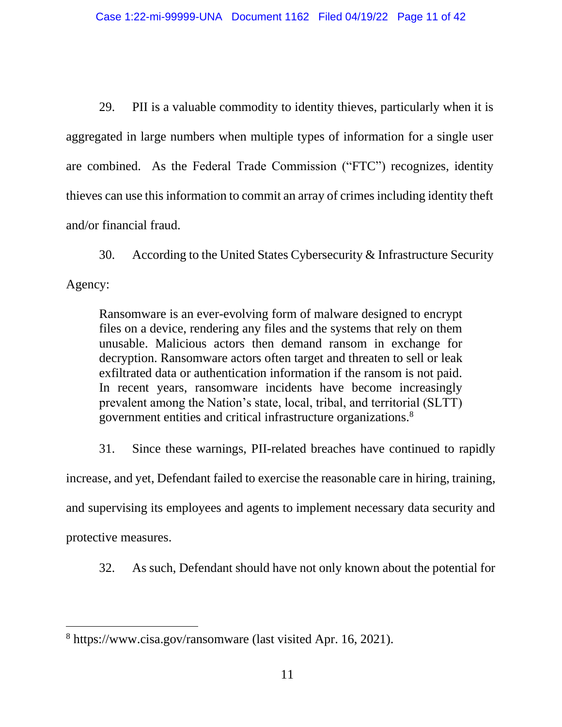29. PII is a valuable commodity to identity thieves, particularly when it is aggregated in large numbers when multiple types of information for a single user are combined. As the Federal Trade Commission ("FTC") recognizes, identity thieves can use this information to commit an array of crimes including identity theft and/or financial fraud.

30. According to the United States Cybersecurity & Infrastructure Security Agency:

Ransomware is an ever-evolving form of malware designed to encrypt files on a device, rendering any files and the systems that rely on them unusable. Malicious actors then demand ransom in exchange for decryption. Ransomware actors often target and threaten to sell or leak exfiltrated data or authentication information if the ransom is not paid. In recent years, ransomware incidents have become increasingly prevalent among the Nation's state, local, tribal, and territorial (SLTT) government entities and critical infrastructure organizations.<sup>8</sup>

31. Since these warnings, PII-related breaches have continued to rapidly increase, and yet, Defendant failed to exercise the reasonable care in hiring, training, and supervising its employees and agents to implement necessary data security and protective measures.

32. As such, Defendant should have not only known about the potential for

<sup>8</sup> https://www.cisa.gov/ransomware (last visited Apr. 16, 2021).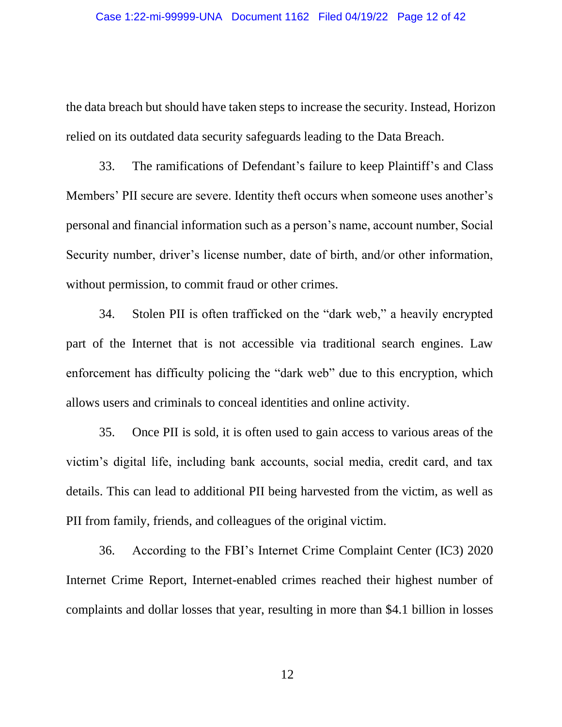the data breach but should have taken steps to increase the security. Instead, Horizon relied on its outdated data security safeguards leading to the Data Breach.

33. The ramifications of Defendant's failure to keep Plaintiff's and Class Members' PII secure are severe. Identity theft occurs when someone uses another's personal and financial information such as a person's name, account number, Social Security number, driver's license number, date of birth, and/or other information, without permission, to commit fraud or other crimes.

34. Stolen PII is often trafficked on the "dark web," a heavily encrypted part of the Internet that is not accessible via traditional search engines. Law enforcement has difficulty policing the "dark web" due to this encryption, which allows users and criminals to conceal identities and online activity.

35. Once PII is sold, it is often used to gain access to various areas of the victim's digital life, including bank accounts, social media, credit card, and tax details. This can lead to additional PII being harvested from the victim, as well as PII from family, friends, and colleagues of the original victim.

36. According to the FBI's Internet Crime Complaint Center (IC3) 2020 Internet Crime Report, Internet-enabled crimes reached their highest number of complaints and dollar losses that year, resulting in more than \$4.1 billion in losses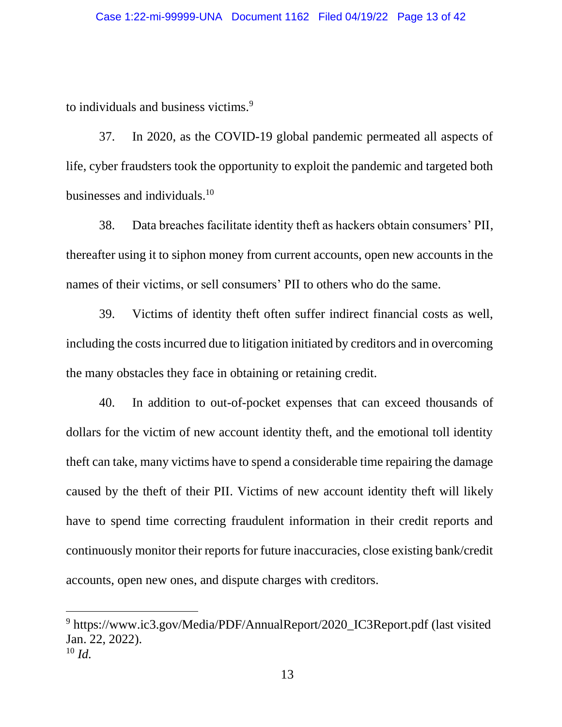to individuals and business victims.<sup>9</sup>

37. In 2020, as the COVID-19 global pandemic permeated all aspects of life, cyber fraudsters took the opportunity to exploit the pandemic and targeted both businesses and individuals. $10<sup>10</sup>$ 

38. Data breaches facilitate identity theft as hackers obtain consumers' PII, thereafter using it to siphon money from current accounts, open new accounts in the names of their victims, or sell consumers' PII to others who do the same.

39. Victims of identity theft often suffer indirect financial costs as well, including the costs incurred due to litigation initiated by creditors and in overcoming the many obstacles they face in obtaining or retaining credit.

40. In addition to out-of-pocket expenses that can exceed thousands of dollars for the victim of new account identity theft, and the emotional toll identity theft can take, many victims have to spend a considerable time repairing the damage caused by the theft of their PII. Victims of new account identity theft will likely have to spend time correcting fraudulent information in their credit reports and continuously monitor their reports for future inaccuracies, close existing bank/credit accounts, open new ones, and dispute charges with creditors.

<sup>&</sup>lt;sup>9</sup> https://www.ic3.gov/Media/PDF/AnnualReport/2020\_IC3Report.pdf (last visited Jan. 22, 2022). <sup>10</sup> *Id.*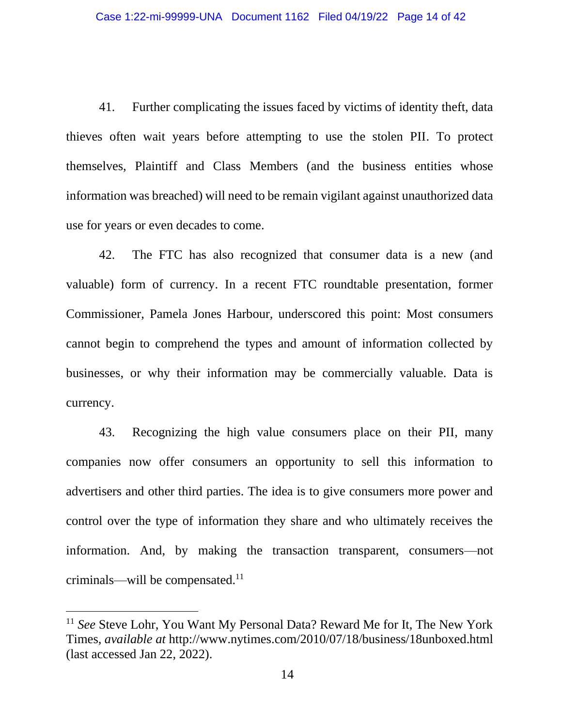41. Further complicating the issues faced by victims of identity theft, data thieves often wait years before attempting to use the stolen PII. To protect themselves, Plaintiff and Class Members (and the business entities whose information was breached) will need to be remain vigilant against unauthorized data use for years or even decades to come.

42. The FTC has also recognized that consumer data is a new (and valuable) form of currency. In a recent FTC roundtable presentation, former Commissioner, Pamela Jones Harbour, underscored this point: Most consumers cannot begin to comprehend the types and amount of information collected by businesses, or why their information may be commercially valuable. Data is currency.

43. Recognizing the high value consumers place on their PII, many companies now offer consumers an opportunity to sell this information to advertisers and other third parties. The idea is to give consumers more power and control over the type of information they share and who ultimately receives the information. And, by making the transaction transparent, consumers—not criminals—will be compensated.<sup>11</sup>

<sup>11</sup> *See* Steve Lohr, You Want My Personal Data? Reward Me for It, The New York Times, *available at* http://www.nytimes.com/2010/07/18/business/18unboxed.html (last accessed Jan 22, 2022).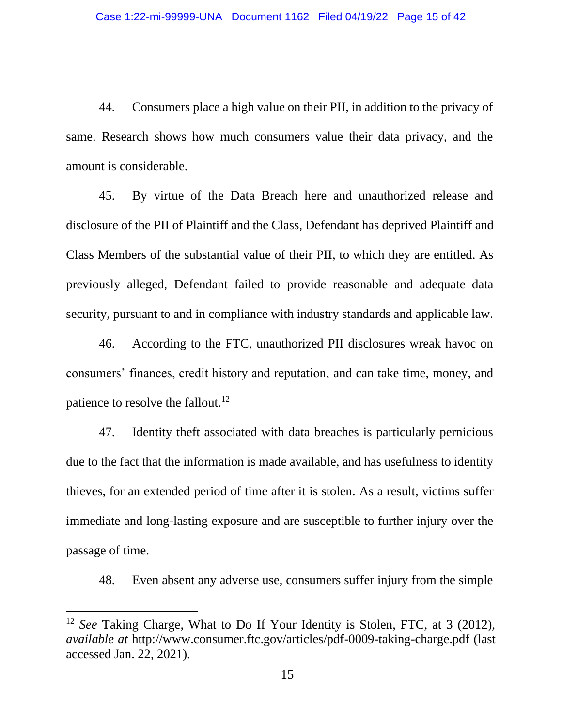44. Consumers place a high value on their PII, in addition to the privacy of same. Research shows how much consumers value their data privacy, and the amount is considerable.

45. By virtue of the Data Breach here and unauthorized release and disclosure of the PII of Plaintiff and the Class, Defendant has deprived Plaintiff and Class Members of the substantial value of their PII, to which they are entitled. As previously alleged, Defendant failed to provide reasonable and adequate data security, pursuant to and in compliance with industry standards and applicable law.

46. According to the FTC, unauthorized PII disclosures wreak havoc on consumers' finances, credit history and reputation, and can take time, money, and patience to resolve the fallout.<sup>12</sup>

47. Identity theft associated with data breaches is particularly pernicious due to the fact that the information is made available, and has usefulness to identity thieves, for an extended period of time after it is stolen. As a result, victims suffer immediate and long-lasting exposure and are susceptible to further injury over the passage of time.

48. Even absent any adverse use, consumers suffer injury from the simple

<sup>12</sup> *See* Taking Charge, What to Do If Your Identity is Stolen, FTC, at 3 (2012), *available at* http://www.consumer.ftc.gov/articles/pdf-0009-taking-charge.pdf (last accessed Jan. 22, 2021).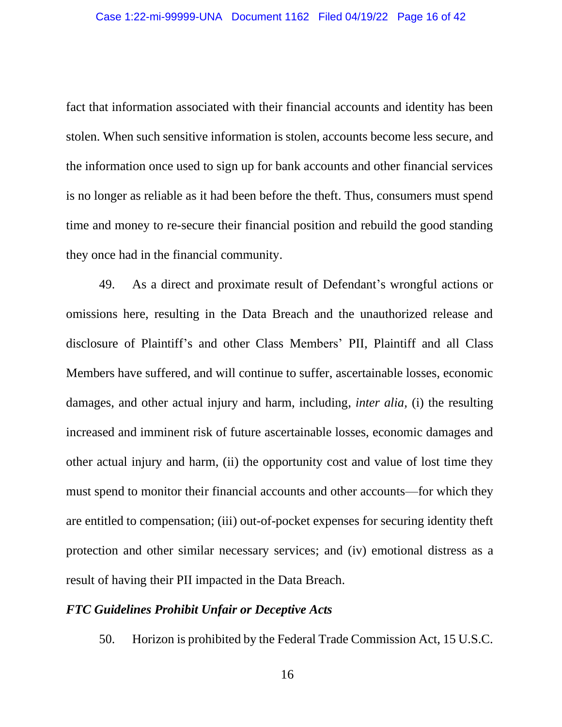fact that information associated with their financial accounts and identity has been stolen. When such sensitive information is stolen, accounts become less secure, and the information once used to sign up for bank accounts and other financial services is no longer as reliable as it had been before the theft. Thus, consumers must spend time and money to re-secure their financial position and rebuild the good standing they once had in the financial community.

49. As a direct and proximate result of Defendant's wrongful actions or omissions here, resulting in the Data Breach and the unauthorized release and disclosure of Plaintiff's and other Class Members' PII, Plaintiff and all Class Members have suffered, and will continue to suffer, ascertainable losses, economic damages, and other actual injury and harm, including, *inter alia,* (i) the resulting increased and imminent risk of future ascertainable losses, economic damages and other actual injury and harm, (ii) the opportunity cost and value of lost time they must spend to monitor their financial accounts and other accounts—for which they are entitled to compensation; (iii) out-of-pocket expenses for securing identity theft protection and other similar necessary services; and (iv) emotional distress as a result of having their PII impacted in the Data Breach.

#### *FTC Guidelines Prohibit Unfair or Deceptive Acts*

50. Horizon is prohibited by the Federal Trade Commission Act, 15 U.S.C.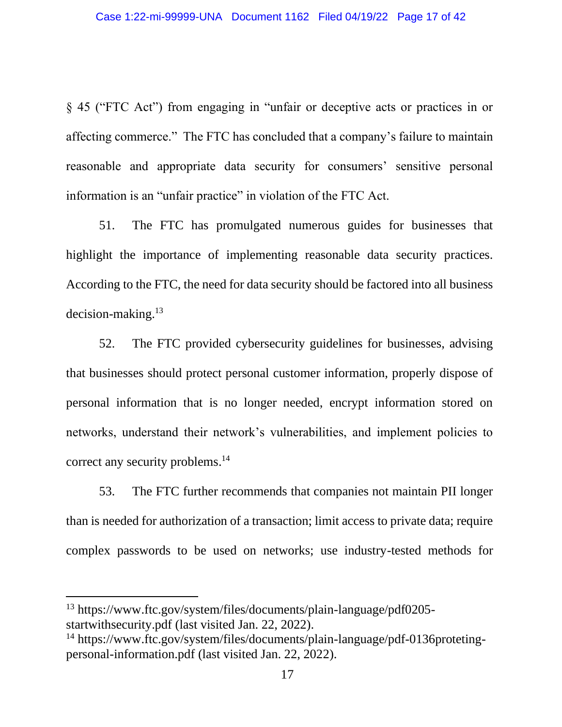§ 45 ("FTC Act") from engaging in "unfair or deceptive acts or practices in or affecting commerce." The FTC has concluded that a company's failure to maintain reasonable and appropriate data security for consumers' sensitive personal information is an "unfair practice" in violation of the FTC Act.

51. The FTC has promulgated numerous guides for businesses that highlight the importance of implementing reasonable data security practices. According to the FTC, the need for data security should be factored into all business decision-making.<sup>13</sup>

52. The FTC provided cybersecurity guidelines for businesses, advising that businesses should protect personal customer information, properly dispose of personal information that is no longer needed, encrypt information stored on networks, understand their network's vulnerabilities, and implement policies to correct any security problems. 14

53. The FTC further recommends that companies not maintain PII longer than is needed for authorization of a transaction; limit access to private data; require complex passwords to be used on networks; use industry-tested methods for

<sup>13</sup> https://www.ftc.gov/system/files/documents/plain-language/pdf0205 startwithsecurity.pdf (last visited Jan. 22, 2022).

<sup>14</sup> https://www.ftc.gov/system/files/documents/plain-language/pdf-0136protetingpersonal-information.pdf (last visited Jan. 22, 2022).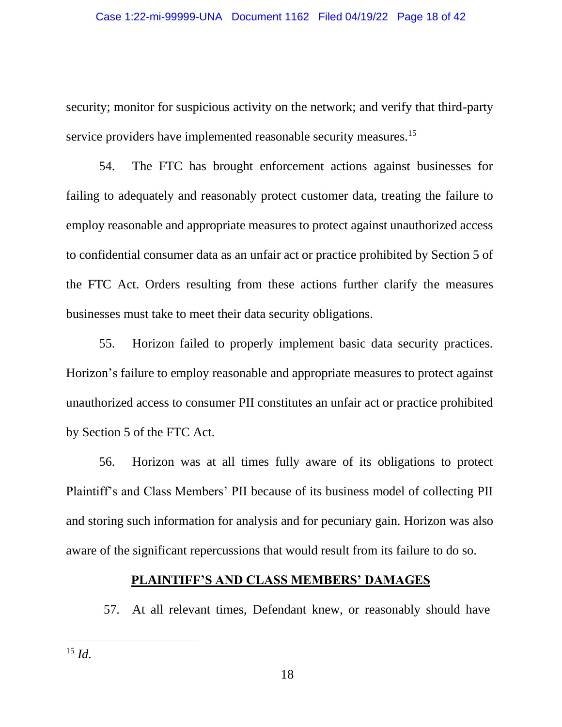security; monitor for suspicious activity on the network; and verify that third-party service providers have implemented reasonable security measures.<sup>15</sup>

54. The FTC has brought enforcement actions against businesses for failing to adequately and reasonably protect customer data, treating the failure to employ reasonable and appropriate measures to protect against unauthorized access to confidential consumer data as an unfair act or practice prohibited by Section 5 of the FTC Act. Orders resulting from these actions further clarify the measures businesses must take to meet their data security obligations.

55. Horizon failed to properly implement basic data security practices. Horizon's failure to employ reasonable and appropriate measures to protect against unauthorized access to consumer PII constitutes an unfair act or practice prohibited by Section 5 of the FTC Act.

56. Horizon was at all times fully aware of its obligations to protect Plaintiff's and Class Members' PII because of its business model of collecting PII and storing such information for analysis and for pecuniary gain. Horizon was also aware of the significant repercussions that would result from its failure to do so.

## **PLAINTIFF'S AND CLASS MEMBERS' DAMAGES**

57. At all relevant times, Defendant knew, or reasonably should have

<sup>15</sup> *Id.*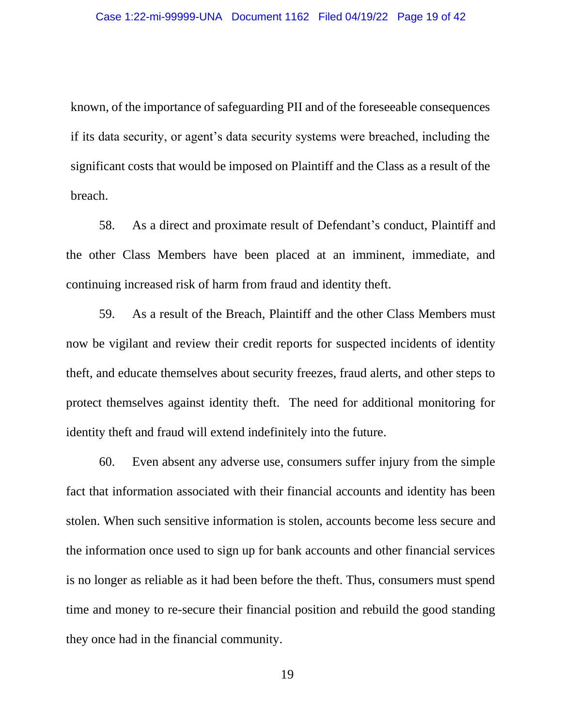known, of the importance of safeguarding PII and of the foreseeable consequences if its data security, or agent's data security systems were breached, including the significant costs that would be imposed on Plaintiff and the Class as a result of the breach.

58. As a direct and proximate result of Defendant's conduct, Plaintiff and the other Class Members have been placed at an imminent, immediate, and continuing increased risk of harm from fraud and identity theft.

59. As a result of the Breach, Plaintiff and the other Class Members must now be vigilant and review their credit reports for suspected incidents of identity theft, and educate themselves about security freezes, fraud alerts, and other steps to protect themselves against identity theft. The need for additional monitoring for identity theft and fraud will extend indefinitely into the future.

60. Even absent any adverse use, consumers suffer injury from the simple fact that information associated with their financial accounts and identity has been stolen. When such sensitive information is stolen, accounts become less secure and the information once used to sign up for bank accounts and other financial services is no longer as reliable as it had been before the theft. Thus, consumers must spend time and money to re-secure their financial position and rebuild the good standing they once had in the financial community.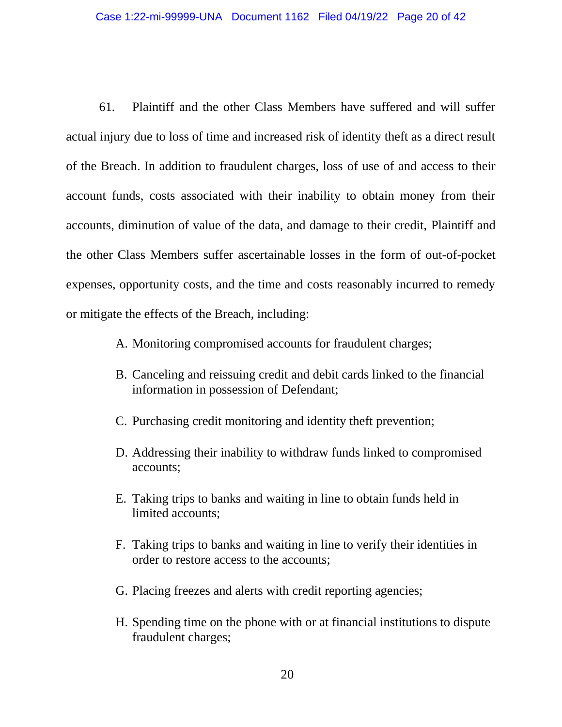61. Plaintiff and the other Class Members have suffered and will suffer actual injury due to loss of time and increased risk of identity theft as a direct result of the Breach. In addition to fraudulent charges, loss of use of and access to their account funds, costs associated with their inability to obtain money from their accounts, diminution of value of the data, and damage to their credit, Plaintiff and the other Class Members suffer ascertainable losses in the form of out-of-pocket expenses, opportunity costs, and the time and costs reasonably incurred to remedy or mitigate the effects of the Breach, including:

- A. Monitoring compromised accounts for fraudulent charges;
- B. Canceling and reissuing credit and debit cards linked to the financial information in possession of Defendant;
- C. Purchasing credit monitoring and identity theft prevention;
- D. Addressing their inability to withdraw funds linked to compromised accounts;
- E. Taking trips to banks and waiting in line to obtain funds held in limited accounts;
- F. Taking trips to banks and waiting in line to verify their identities in order to restore access to the accounts;
- G. Placing freezes and alerts with credit reporting agencies;
- H. Spending time on the phone with or at financial institutions to dispute fraudulent charges;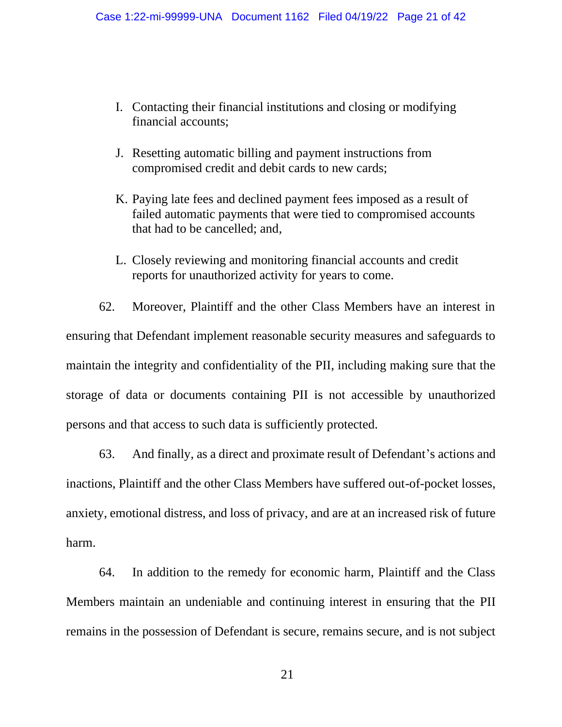- I. Contacting their financial institutions and closing or modifying financial accounts;
- J. Resetting automatic billing and payment instructions from compromised credit and debit cards to new cards;
- K. Paying late fees and declined payment fees imposed as a result of failed automatic payments that were tied to compromised accounts that had to be cancelled; and,
- L. Closely reviewing and monitoring financial accounts and credit reports for unauthorized activity for years to come.

62. Moreover, Plaintiff and the other Class Members have an interest in ensuring that Defendant implement reasonable security measures and safeguards to maintain the integrity and confidentiality of the PII, including making sure that the storage of data or documents containing PII is not accessible by unauthorized persons and that access to such data is sufficiently protected.

63. And finally, as a direct and proximate result of Defendant's actions and inactions, Plaintiff and the other Class Members have suffered out-of-pocket losses, anxiety, emotional distress, and loss of privacy, and are at an increased risk of future harm.

64. In addition to the remedy for economic harm, Plaintiff and the Class Members maintain an undeniable and continuing interest in ensuring that the PII remains in the possession of Defendant is secure, remains secure, and is not subject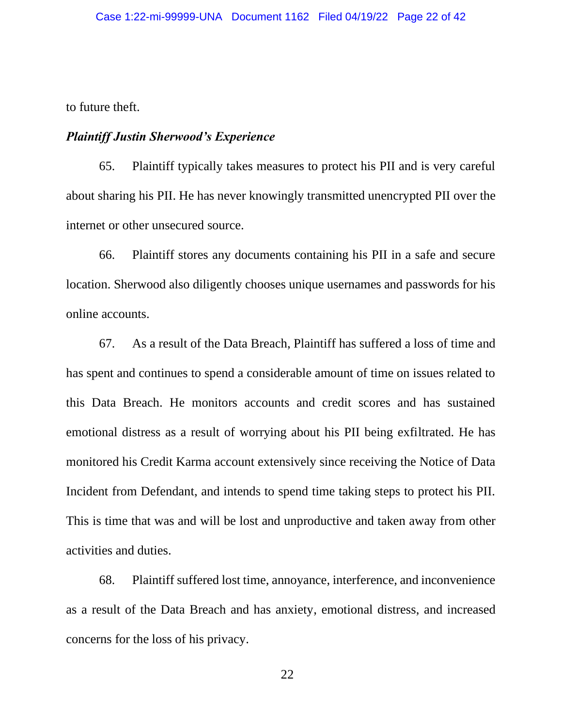to future theft.

#### *Plaintiff Justin Sherwood's Experience*

65. Plaintiff typically takes measures to protect his PII and is very careful about sharing his PII. He has never knowingly transmitted unencrypted PII over the internet or other unsecured source.

66. Plaintiff stores any documents containing his PII in a safe and secure location. Sherwood also diligently chooses unique usernames and passwords for his online accounts.

67. As a result of the Data Breach, Plaintiff has suffered a loss of time and has spent and continues to spend a considerable amount of time on issues related to this Data Breach. He monitors accounts and credit scores and has sustained emotional distress as a result of worrying about his PII being exfiltrated. He has monitored his Credit Karma account extensively since receiving the Notice of Data Incident from Defendant, and intends to spend time taking steps to protect his PII. This is time that was and will be lost and unproductive and taken away from other activities and duties.

68. Plaintiff suffered lost time, annoyance, interference, and inconvenience as a result of the Data Breach and has anxiety, emotional distress, and increased concerns for the loss of his privacy.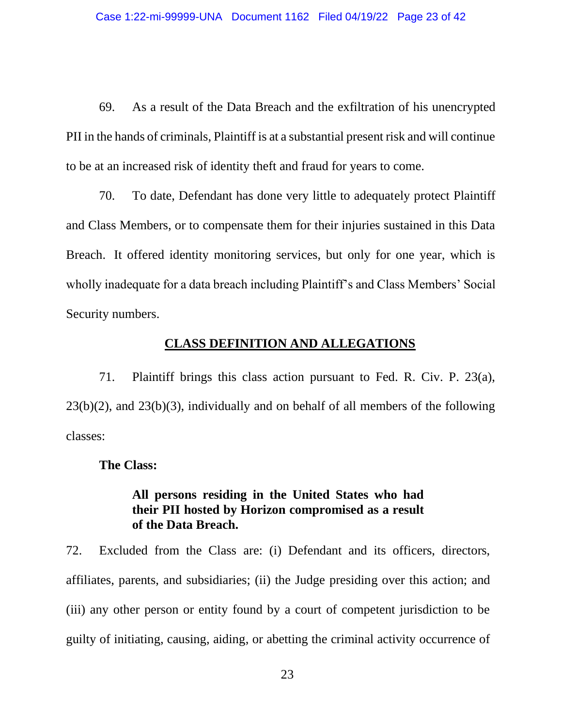69. As a result of the Data Breach and the exfiltration of his unencrypted PII in the hands of criminals, Plaintiff is at a substantial present risk and will continue to be at an increased risk of identity theft and fraud for years to come.

70. To date, Defendant has done very little to adequately protect Plaintiff and Class Members, or to compensate them for their injuries sustained in this Data Breach. It offered identity monitoring services, but only for one year, which is wholly inadequate for a data breach including Plaintiff's and Class Members' Social Security numbers.

## **CLASS DEFINITION AND ALLEGATIONS**

71. Plaintiff brings this class action pursuant to Fed. R. Civ. P. 23(a), 23(b)(2), and 23(b)(3), individually and on behalf of all members of the following classes:

**The Class:**

# **All persons residing in the United States who had their PII hosted by Horizon compromised as a result of the Data Breach.**

72. Excluded from the Class are: (i) Defendant and its officers, directors, affiliates, parents, and subsidiaries; (ii) the Judge presiding over this action; and (iii) any other person or entity found by a court of competent jurisdiction to be guilty of initiating, causing, aiding, or abetting the criminal activity occurrence of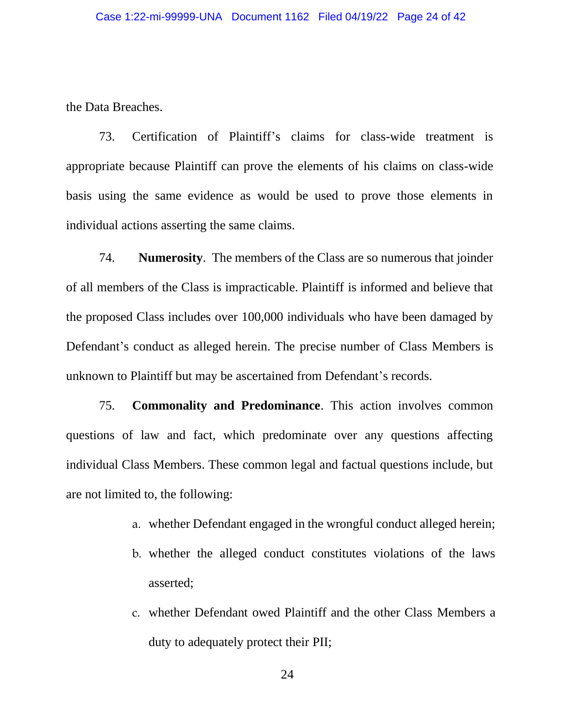the Data Breaches.

73. Certification of Plaintiff's claims for class-wide treatment is appropriate because Plaintiff can prove the elements of his claims on class-wide basis using the same evidence as would be used to prove those elements in individual actions asserting the same claims.

74. **Numerosity**. The members of the Class are so numerous that joinder of all members of the Class is impracticable. Plaintiff is informed and believe that the proposed Class includes over 100,000 individuals who have been damaged by Defendant's conduct as alleged herein. The precise number of Class Members is unknown to Plaintiff but may be ascertained from Defendant's records.

75. **Commonality and Predominance**. This action involves common questions of law and fact, which predominate over any questions affecting individual Class Members. These common legal and factual questions include, but are not limited to, the following:

- a. whether Defendant engaged in the wrongful conduct alleged herein;
- b. whether the alleged conduct constitutes violations of the laws asserted;
- c. whether Defendant owed Plaintiff and the other Class Members a duty to adequately protect their PII;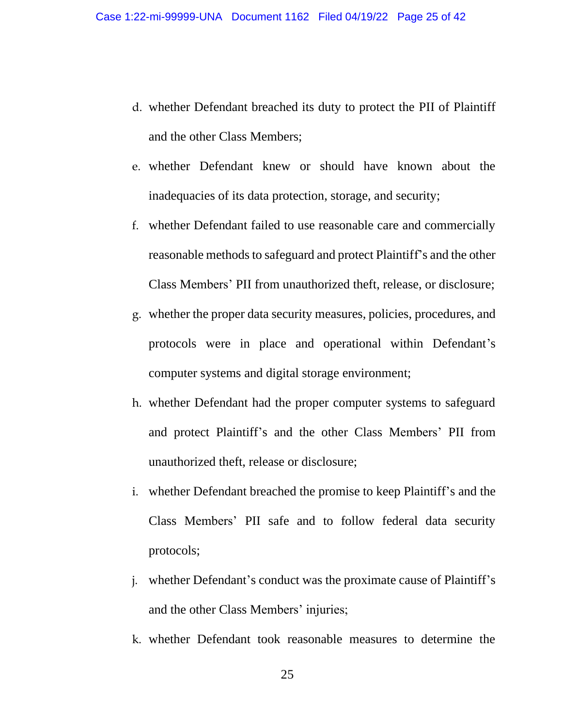- d. whether Defendant breached its duty to protect the PII of Plaintiff and the other Class Members;
- e. whether Defendant knew or should have known about the inadequacies of its data protection, storage, and security;
- f. whether Defendant failed to use reasonable care and commercially reasonable methods to safeguard and protect Plaintiff's and the other Class Members' PII from unauthorized theft, release, or disclosure;
- g. whether the proper data security measures, policies, procedures, and protocols were in place and operational within Defendant's computer systems and digital storage environment;
- h. whether Defendant had the proper computer systems to safeguard and protect Plaintiff's and the other Class Members' PII from unauthorized theft, release or disclosure;
- i. whether Defendant breached the promise to keep Plaintiff's and the Class Members' PII safe and to follow federal data security protocols;
- j. whether Defendant's conduct was the proximate cause of Plaintiff's and the other Class Members' injuries;
- k. whether Defendant took reasonable measures to determine the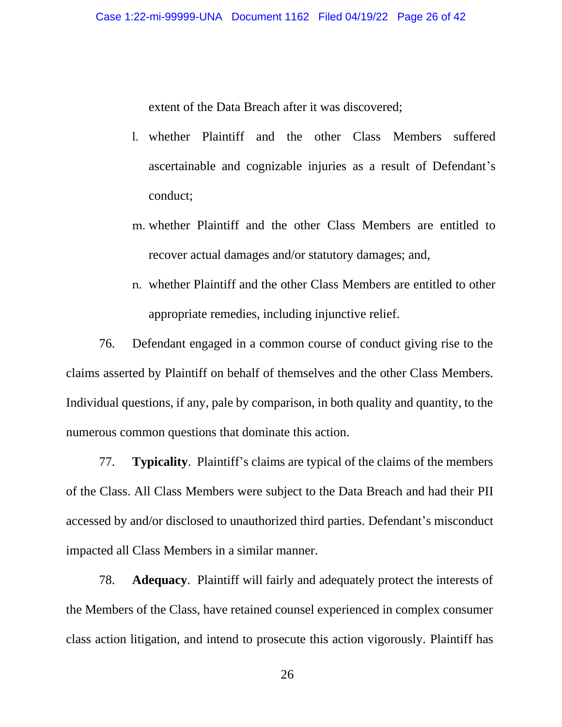extent of the Data Breach after it was discovered;

- l. whether Plaintiff and the other Class Members suffered ascertainable and cognizable injuries as a result of Defendant's conduct;
- m. whether Plaintiff and the other Class Members are entitled to recover actual damages and/or statutory damages; and,
- n. whether Plaintiff and the other Class Members are entitled to other appropriate remedies, including injunctive relief.

76. Defendant engaged in a common course of conduct giving rise to the claims asserted by Plaintiff on behalf of themselves and the other Class Members. Individual questions, if any, pale by comparison, in both quality and quantity, to the numerous common questions that dominate this action.

77. **Typicality**. Plaintiff's claims are typical of the claims of the members of the Class. All Class Members were subject to the Data Breach and had their PII accessed by and/or disclosed to unauthorized third parties. Defendant's misconduct impacted all Class Members in a similar manner.

78. **Adequacy**. Plaintiff will fairly and adequately protect the interests of the Members of the Class, have retained counsel experienced in complex consumer class action litigation, and intend to prosecute this action vigorously. Plaintiff has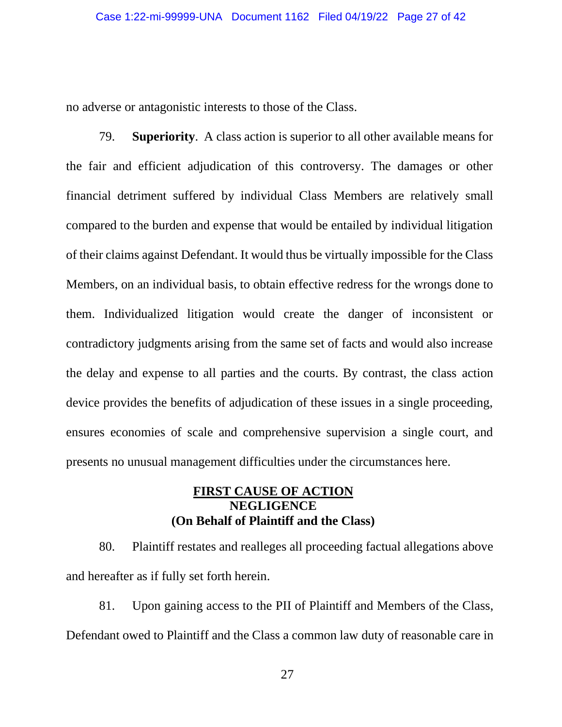no adverse or antagonistic interests to those of the Class.

79. **Superiority**. A class action is superior to all other available means for the fair and efficient adjudication of this controversy. The damages or other financial detriment suffered by individual Class Members are relatively small compared to the burden and expense that would be entailed by individual litigation of their claims against Defendant. It would thus be virtually impossible for the Class Members, on an individual basis, to obtain effective redress for the wrongs done to them. Individualized litigation would create the danger of inconsistent or contradictory judgments arising from the same set of facts and would also increase the delay and expense to all parties and the courts. By contrast, the class action device provides the benefits of adjudication of these issues in a single proceeding, ensures economies of scale and comprehensive supervision a single court, and presents no unusual management difficulties under the circumstances here.

# **FIRST CAUSE OF ACTION NEGLIGENCE (On Behalf of Plaintiff and the Class)**

80. Plaintiff restates and realleges all proceeding factual allegations above and hereafter as if fully set forth herein.

81. Upon gaining access to the PII of Plaintiff and Members of the Class, Defendant owed to Plaintiff and the Class a common law duty of reasonable care in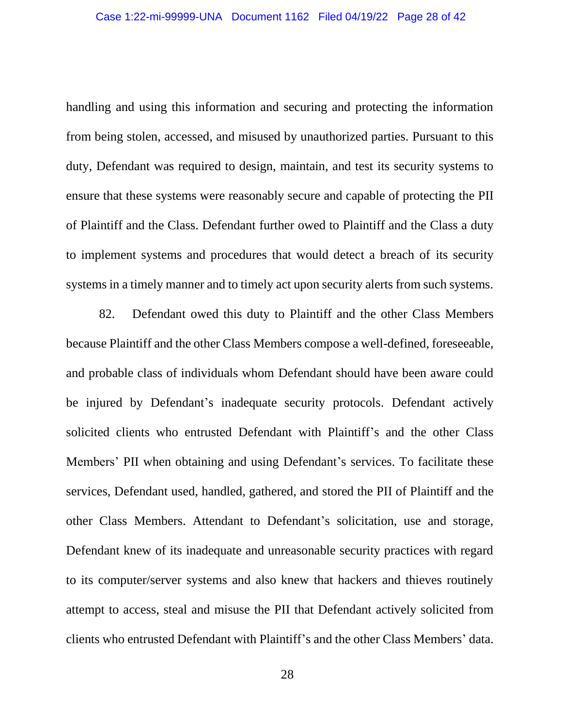handling and using this information and securing and protecting the information from being stolen, accessed, and misused by unauthorized parties. Pursuant to this duty, Defendant was required to design, maintain, and test its security systems to ensure that these systems were reasonably secure and capable of protecting the PII of Plaintiff and the Class. Defendant further owed to Plaintiff and the Class a duty to implement systems and procedures that would detect a breach of its security systems in a timely manner and to timely act upon security alerts from such systems.

82. Defendant owed this duty to Plaintiff and the other Class Members because Plaintiff and the other Class Members compose a well-defined, foreseeable, and probable class of individuals whom Defendant should have been aware could be injured by Defendant's inadequate security protocols. Defendant actively solicited clients who entrusted Defendant with Plaintiff's and the other Class Members' PII when obtaining and using Defendant's services. To facilitate these services, Defendant used, handled, gathered, and stored the PII of Plaintiff and the other Class Members. Attendant to Defendant's solicitation, use and storage, Defendant knew of its inadequate and unreasonable security practices with regard to its computer/server systems and also knew that hackers and thieves routinely attempt to access, steal and misuse the PII that Defendant actively solicited from clients who entrusted Defendant with Plaintiff's and the other Class Members' data.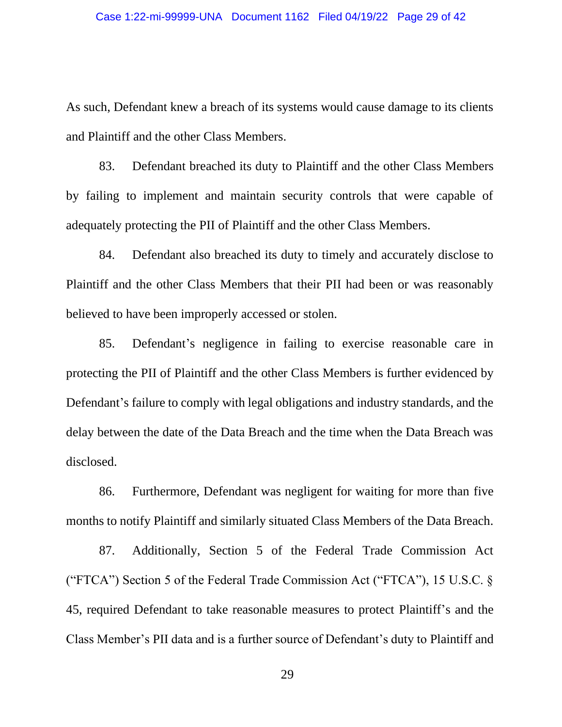As such, Defendant knew a breach of its systems would cause damage to its clients and Plaintiff and the other Class Members.

83. Defendant breached its duty to Plaintiff and the other Class Members by failing to implement and maintain security controls that were capable of adequately protecting the PII of Plaintiff and the other Class Members.

84. Defendant also breached its duty to timely and accurately disclose to Plaintiff and the other Class Members that their PII had been or was reasonably believed to have been improperly accessed or stolen.

85. Defendant's negligence in failing to exercise reasonable care in protecting the PII of Plaintiff and the other Class Members is further evidenced by Defendant's failure to comply with legal obligations and industry standards, and the delay between the date of the Data Breach and the time when the Data Breach was disclosed.

86. Furthermore, Defendant was negligent for waiting for more than five months to notify Plaintiff and similarly situated Class Members of the Data Breach.

87. Additionally, Section 5 of the Federal Trade Commission Act ("FTCA") Section 5 of the Federal Trade Commission Act ("FTCA"), 15 U.S.C. § 45, required Defendant to take reasonable measures to protect Plaintiff's and the Class Member's PII data and is a further source of Defendant's duty to Plaintiff and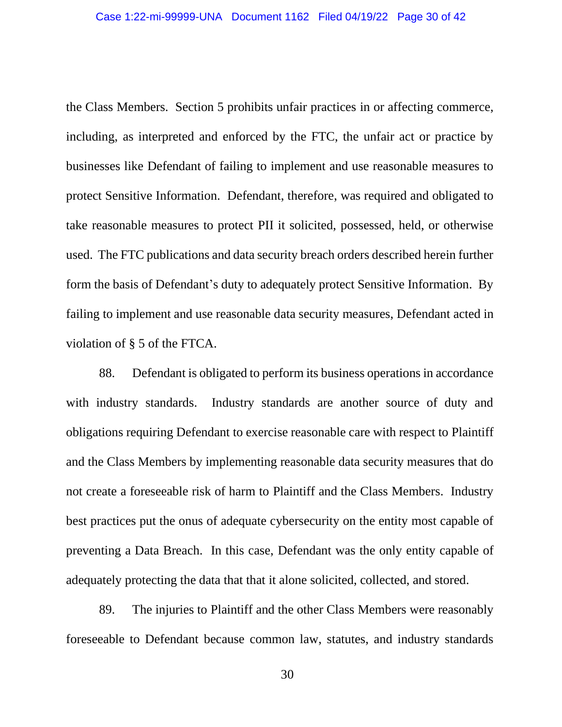the Class Members. Section 5 prohibits unfair practices in or affecting commerce, including, as interpreted and enforced by the FTC, the unfair act or practice by businesses like Defendant of failing to implement and use reasonable measures to protect Sensitive Information. Defendant, therefore, was required and obligated to take reasonable measures to protect PII it solicited, possessed, held, or otherwise used. The FTC publications and data security breach orders described herein further form the basis of Defendant's duty to adequately protect Sensitive Information. By failing to implement and use reasonable data security measures, Defendant acted in violation of § 5 of the FTCA.

88. Defendant is obligated to perform its business operations in accordance with industry standards. Industry standards are another source of duty and obligations requiring Defendant to exercise reasonable care with respect to Plaintiff and the Class Members by implementing reasonable data security measures that do not create a foreseeable risk of harm to Plaintiff and the Class Members. Industry best practices put the onus of adequate cybersecurity on the entity most capable of preventing a Data Breach. In this case, Defendant was the only entity capable of adequately protecting the data that that it alone solicited, collected, and stored.

89. The injuries to Plaintiff and the other Class Members were reasonably foreseeable to Defendant because common law, statutes, and industry standards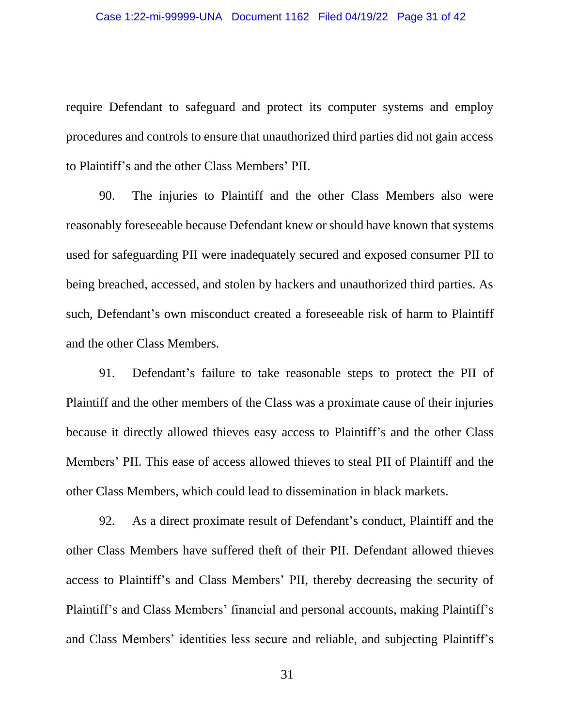require Defendant to safeguard and protect its computer systems and employ procedures and controls to ensure that unauthorized third parties did not gain access to Plaintiff's and the other Class Members' PII.

90. The injuries to Plaintiff and the other Class Members also were reasonably foreseeable because Defendant knew or should have known that systems used for safeguarding PII were inadequately secured and exposed consumer PII to being breached, accessed, and stolen by hackers and unauthorized third parties. As such, Defendant's own misconduct created a foreseeable risk of harm to Plaintiff and the other Class Members.

91. Defendant's failure to take reasonable steps to protect the PII of Plaintiff and the other members of the Class was a proximate cause of their injuries because it directly allowed thieves easy access to Plaintiff's and the other Class Members' PII. This ease of access allowed thieves to steal PII of Plaintiff and the other Class Members, which could lead to dissemination in black markets.

92. As a direct proximate result of Defendant's conduct, Plaintiff and the other Class Members have suffered theft of their PII. Defendant allowed thieves access to Plaintiff's and Class Members' PII, thereby decreasing the security of Plaintiff's and Class Members' financial and personal accounts, making Plaintiff's and Class Members' identities less secure and reliable, and subjecting Plaintiff's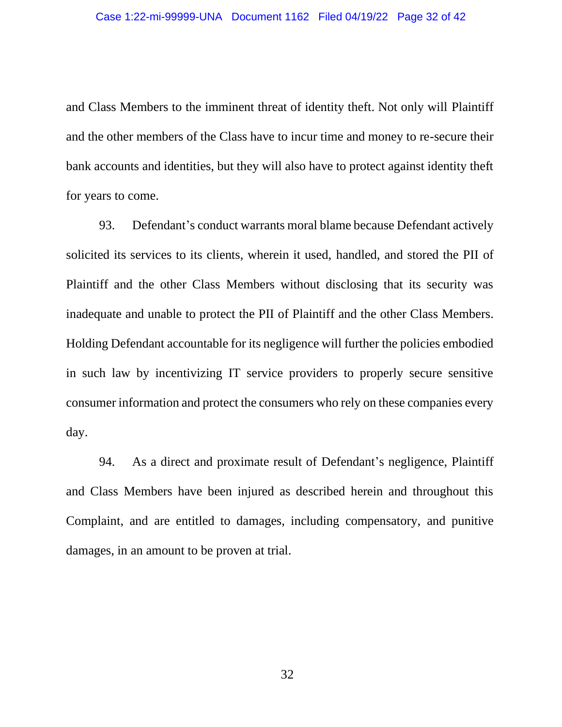and Class Members to the imminent threat of identity theft. Not only will Plaintiff and the other members of the Class have to incur time and money to re-secure their bank accounts and identities, but they will also have to protect against identity theft for years to come.

93. Defendant's conduct warrants moral blame because Defendant actively solicited its services to its clients, wherein it used, handled, and stored the PII of Plaintiff and the other Class Members without disclosing that its security was inadequate and unable to protect the PII of Plaintiff and the other Class Members. Holding Defendant accountable for its negligence will further the policies embodied in such law by incentivizing IT service providers to properly secure sensitive consumer information and protect the consumers who rely on these companies every day.

94. As a direct and proximate result of Defendant's negligence, Plaintiff and Class Members have been injured as described herein and throughout this Complaint, and are entitled to damages, including compensatory, and punitive damages, in an amount to be proven at trial.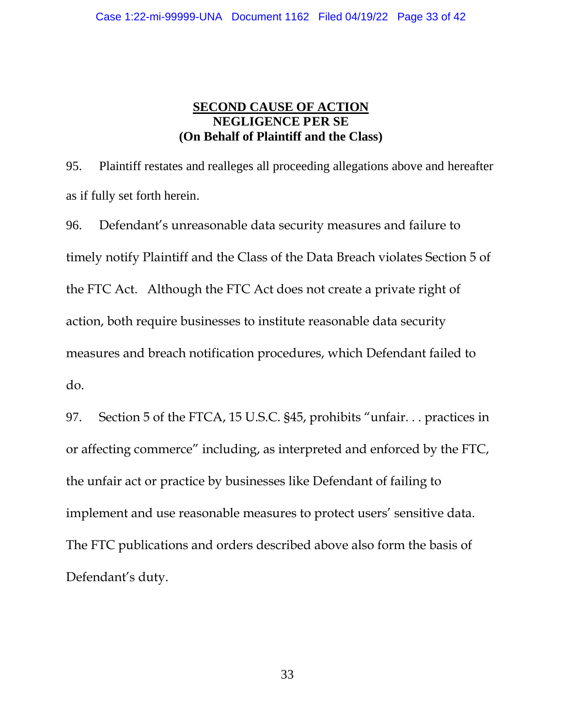# **SECOND CAUSE OF ACTION NEGLIGENCE PER SE (On Behalf of Plaintiff and the Class)**

95. Plaintiff restates and realleges all proceeding allegations above and hereafter as if fully set forth herein.

96. Defendant's unreasonable data security measures and failure to timely notify Plaintiff and the Class of the Data Breach violates Section 5 of the FTC Act. Although the FTC Act does not create a private right of action, both require businesses to institute reasonable data security measures and breach notification procedures, which Defendant failed to do.

97. Section 5 of the FTCA, 15 U.S.C. §45, prohibits "unfair. . . practices in or affecting commerce" including, as interpreted and enforced by the FTC, the unfair act or practice by businesses like Defendant of failing to implement and use reasonable measures to protect users' sensitive data. The FTC publications and orders described above also form the basis of Defendant's duty.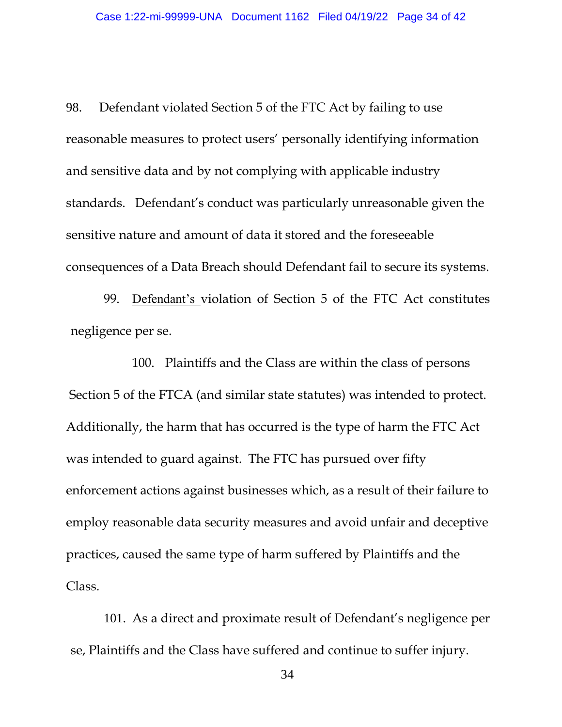98. Defendant violated Section 5 of the FTC Act by failing to use reasonable measures to protect users' personally identifying information and sensitive data and by not complying with applicable industry standards. Defendant's conduct was particularly unreasonable given the sensitive nature and amount of data it stored and the foreseeable consequences of a Data Breach should Defendant fail to secure its systems.

99. Defendant's violation of Section 5 of the FTC Act constitutes negligence per se.

100. Plaintiffs and the Class are within the class of persons Section 5 of the FTCA (and similar state statutes) was intended to protect. Additionally, the harm that has occurred is the type of harm the FTC Act was intended to guard against. The FTC has pursued over fifty enforcement actions against businesses which, as a result of their failure to employ reasonable data security measures and avoid unfair and deceptive practices, caused the same type of harm suffered by Plaintiffs and the Class.

101. As a direct and proximate result of Defendant's negligence per se, Plaintiffs and the Class have suffered and continue to suffer injury.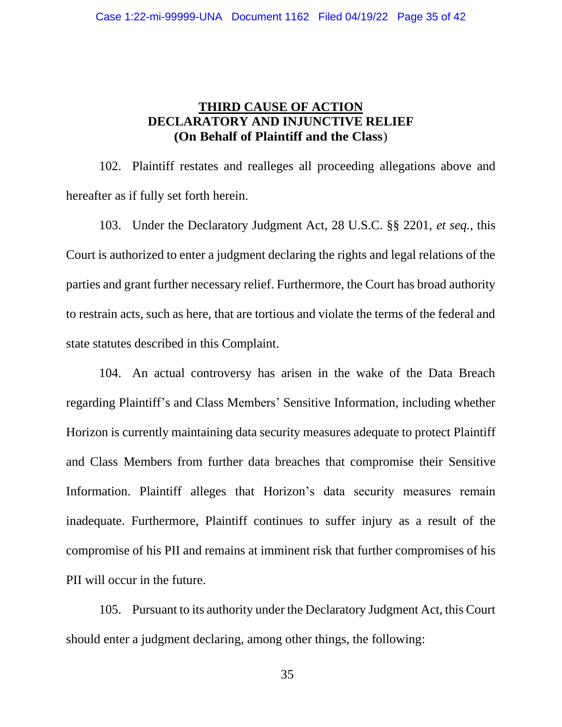# **THIRD CAUSE OF ACTION DECLARATORY AND INJUNCTIVE RELIEF (On Behalf of Plaintiff and the Class**)

102. Plaintiff restates and realleges all proceeding allegations above and hereafter as if fully set forth herein.

103. Under the Declaratory Judgment Act, 28 U.S.C. §§ 2201, *et seq.*, this Court is authorized to enter a judgment declaring the rights and legal relations of the parties and grant further necessary relief. Furthermore, the Court has broad authority to restrain acts, such as here, that are tortious and violate the terms of the federal and state statutes described in this Complaint.

104. An actual controversy has arisen in the wake of the Data Breach regarding Plaintiff's and Class Members' Sensitive Information, including whether Horizon is currently maintaining data security measures adequate to protect Plaintiff and Class Members from further data breaches that compromise their Sensitive Information. Plaintiff alleges that Horizon's data security measures remain inadequate. Furthermore, Plaintiff continues to suffer injury as a result of the compromise of his PII and remains at imminent risk that further compromises of his PII will occur in the future.

105. Pursuant to its authority under the Declaratory Judgment Act, this Court should enter a judgment declaring, among other things, the following: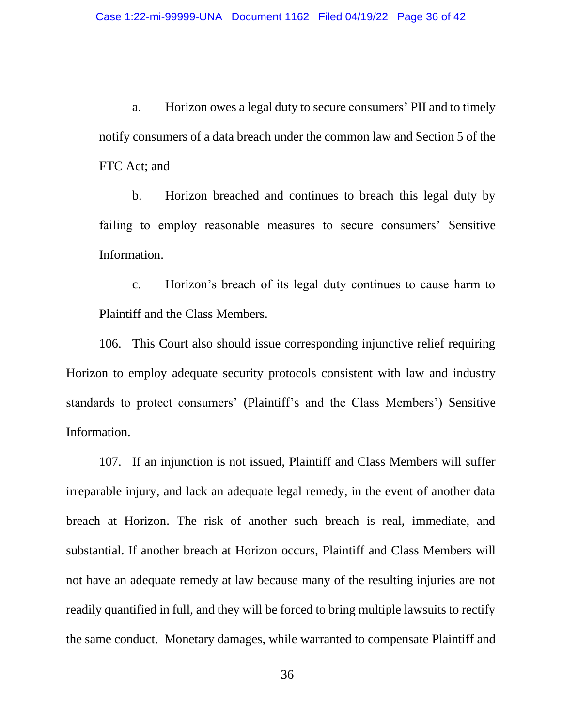a. Horizon owes a legal duty to secure consumers' PII and to timely notify consumers of a data breach under the common law and Section 5 of the FTC Act; and

b. Horizon breached and continues to breach this legal duty by failing to employ reasonable measures to secure consumers' Sensitive Information.

c. Horizon's breach of its legal duty continues to cause harm to Plaintiff and the Class Members.

106. This Court also should issue corresponding injunctive relief requiring Horizon to employ adequate security protocols consistent with law and industry standards to protect consumers' (Plaintiff's and the Class Members') Sensitive Information.

107. If an injunction is not issued, Plaintiff and Class Members will suffer irreparable injury, and lack an adequate legal remedy, in the event of another data breach at Horizon. The risk of another such breach is real, immediate, and substantial. If another breach at Horizon occurs, Plaintiff and Class Members will not have an adequate remedy at law because many of the resulting injuries are not readily quantified in full, and they will be forced to bring multiple lawsuits to rectify the same conduct. Monetary damages, while warranted to compensate Plaintiff and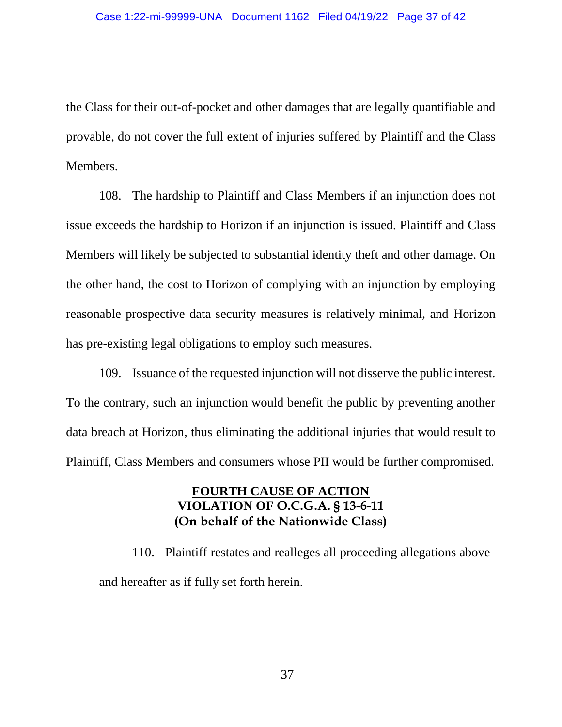the Class for their out-of-pocket and other damages that are legally quantifiable and provable, do not cover the full extent of injuries suffered by Plaintiff and the Class Members.

108. The hardship to Plaintiff and Class Members if an injunction does not issue exceeds the hardship to Horizon if an injunction is issued. Plaintiff and Class Members will likely be subjected to substantial identity theft and other damage. On the other hand, the cost to Horizon of complying with an injunction by employing reasonable prospective data security measures is relatively minimal, and Horizon has pre-existing legal obligations to employ such measures.

109. Issuance of the requested injunction will not disserve the public interest. To the contrary, such an injunction would benefit the public by preventing another data breach at Horizon, thus eliminating the additional injuries that would result to Plaintiff, Class Members and consumers whose PII would be further compromised.

# **FOURTH CAUSE OF ACTION VIOLATION OF O.C.G.A. § 13-6-11 (On behalf of the Nationwide Class)**

110. Plaintiff restates and realleges all proceeding allegations above and hereafter as if fully set forth herein.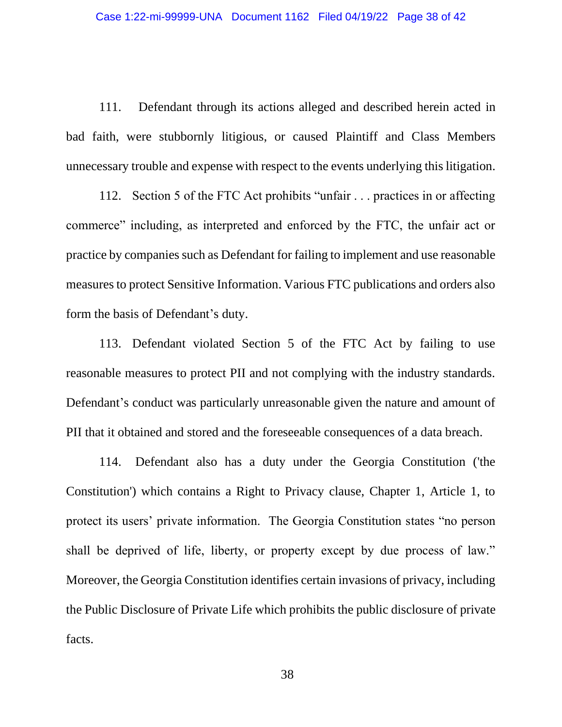111. Defendant through its actions alleged and described herein acted in bad faith, were stubbornly litigious, or caused Plaintiff and Class Members unnecessary trouble and expense with respect to the events underlying this litigation.

112. Section 5 of the FTC Act prohibits "unfair . . . practices in or affecting commerce" including, as interpreted and enforced by the FTC, the unfair act or practice by companies such as Defendant for failing to implement and use reasonable measures to protect Sensitive Information. Various FTC publications and orders also form the basis of Defendant's duty.

113. Defendant violated Section 5 of the FTC Act by failing to use reasonable measures to protect PII and not complying with the industry standards. Defendant's conduct was particularly unreasonable given the nature and amount of PII that it obtained and stored and the foreseeable consequences of a data breach.

114. Defendant also has a duty under the Georgia Constitution ('the Constitution') which contains a Right to Privacy clause, Chapter 1, Article 1, to protect its users' private information. The Georgia Constitution states "no person shall be deprived of life, liberty, or property except by due process of law." Moreover, the Georgia Constitution identifies certain invasions of privacy, including the Public Disclosure of Private Life which prohibits the public disclosure of private facts.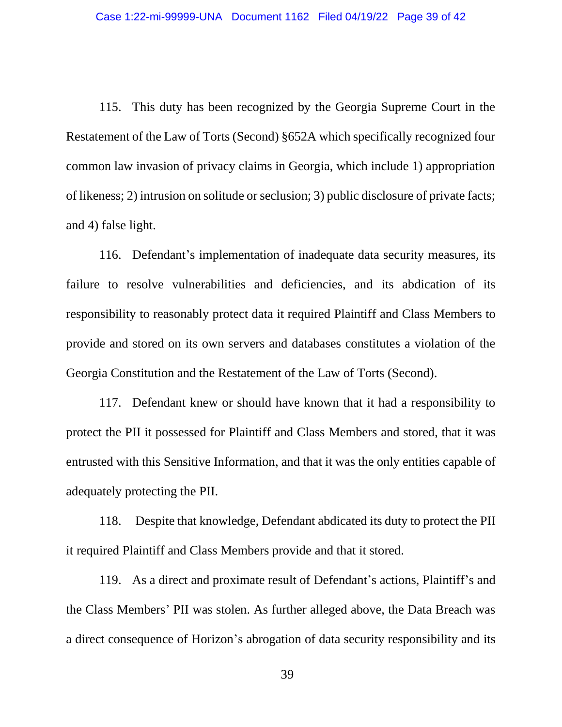115. This duty has been recognized by the Georgia Supreme Court in the Restatement of the Law of Torts (Second) §652A which specifically recognized four common law invasion of privacy claims in Georgia, which include 1) appropriation of likeness; 2) intrusion on solitude or seclusion; 3) public disclosure of private facts; and 4) false light.

116. Defendant's implementation of inadequate data security measures, its failure to resolve vulnerabilities and deficiencies, and its abdication of its responsibility to reasonably protect data it required Plaintiff and Class Members to provide and stored on its own servers and databases constitutes a violation of the Georgia Constitution and the Restatement of the Law of Torts (Second).

117. Defendant knew or should have known that it had a responsibility to protect the PII it possessed for Plaintiff and Class Members and stored, that it was entrusted with this Sensitive Information, and that it was the only entities capable of adequately protecting the PII.

118. Despite that knowledge, Defendant abdicated its duty to protect the PII it required Plaintiff and Class Members provide and that it stored.

119. As a direct and proximate result of Defendant's actions, Plaintiff's and the Class Members' PII was stolen. As further alleged above, the Data Breach was a direct consequence of Horizon's abrogation of data security responsibility and its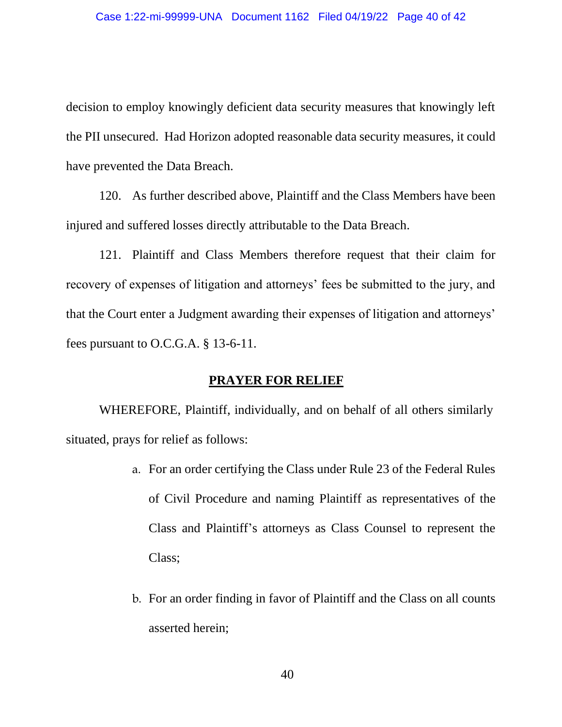decision to employ knowingly deficient data security measures that knowingly left the PII unsecured. Had Horizon adopted reasonable data security measures, it could have prevented the Data Breach.

120. As further described above, Plaintiff and the Class Members have been injured and suffered losses directly attributable to the Data Breach.

121. Plaintiff and Class Members therefore request that their claim for recovery of expenses of litigation and attorneys' fees be submitted to the jury, and that the Court enter a Judgment awarding their expenses of litigation and attorneys' fees pursuant to O.C.G.A. § 13-6-11.

## **PRAYER FOR RELIEF**

WHEREFORE, Plaintiff, individually, and on behalf of all others similarly situated, prays for relief as follows:

- a. For an order certifying the Class under Rule 23 of the Federal Rules of Civil Procedure and naming Plaintiff as representatives of the Class and Plaintiff's attorneys as Class Counsel to represent the Class;
- b. For an order finding in favor of Plaintiff and the Class on all counts asserted herein;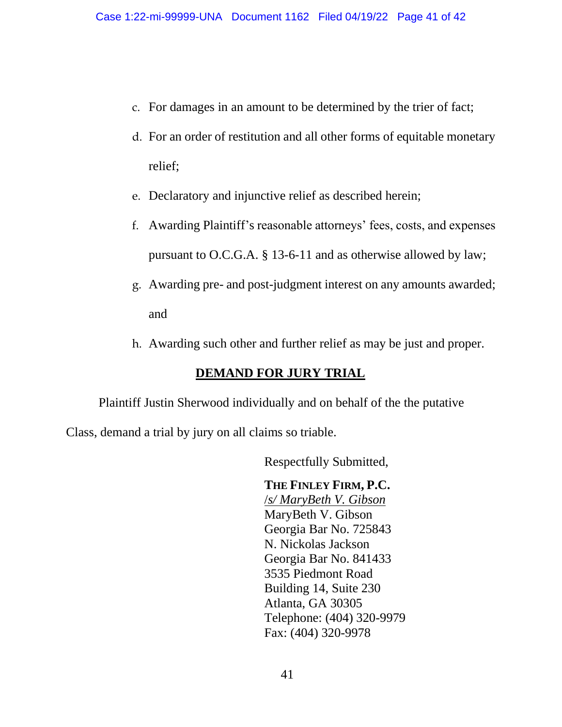- c. For damages in an amount to be determined by the trier of fact;
- d. For an order of restitution and all other forms of equitable monetary relief;
- e. Declaratory and injunctive relief as described herein;
- f. Awarding Plaintiff's reasonable attorneys' fees, costs, and expenses pursuant to O.C.G.A. § 13-6-11 and as otherwise allowed by law;
- g. Awarding pre- and post-judgment interest on any amounts awarded; and
- h. Awarding such other and further relief as may be just and proper.

# **DEMAND FOR JURY TRIAL**

Plaintiff Justin Sherwood individually and on behalf of the the putative

Class, demand a trial by jury on all claims so triable.

Respectfully Submitted,

# **THE FINLEY FIRM, P.C.**

/*s/ MaryBeth V. Gibson*  MaryBeth V. Gibson Georgia Bar No. 725843 N. Nickolas Jackson Georgia Bar No. 841433 3535 Piedmont Road Building 14, Suite 230 Atlanta, GA 30305 Telephone: (404) 320-9979 Fax: (404) 320-9978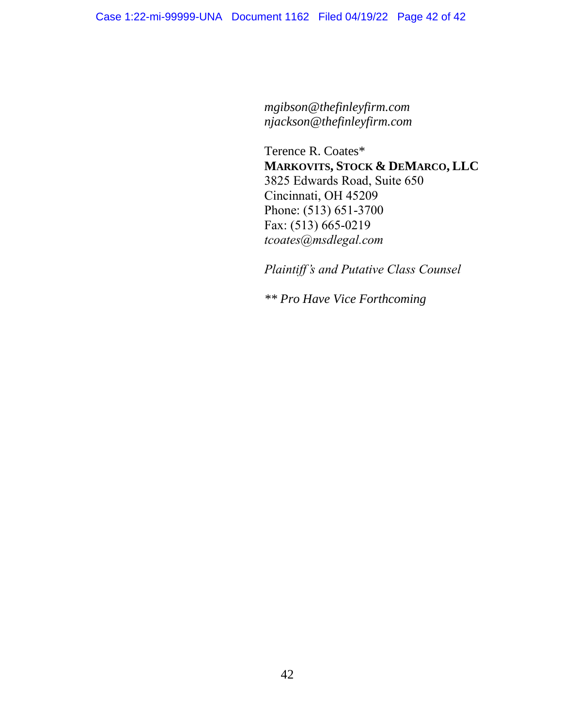*mgibson@thefinleyfirm.com njackson@thefinleyfirm.com* 

Terence R. Coates\* **MARKOVITS, STOCK & DEMARCO, LLC** 3825 Edwards Road, Suite 650 Cincinnati, OH 45209 Phone: (513) 651-3700 Fax: (513) 665-0219 *tcoates@msdlegal.com*

*Plaintiff's and Putative Class Counsel* 

*\*\* Pro Have Vice Forthcoming*